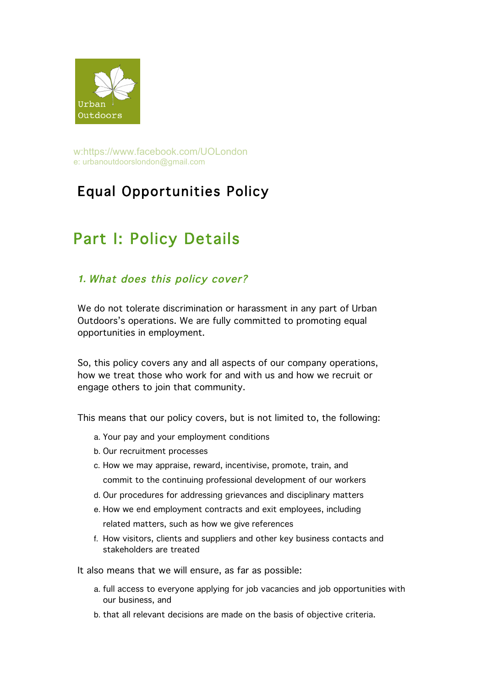

w:https://www.facebook.com/UOLondon e: urbanoutdoorslondon@gmail.com

# Equal Opportunities Policy

# Part I: Policy Details

## *1.* What does this policy cover?

We do not tolerate discrimination or harassment in any part of Urban Outdoors's operations. We are fully committed to promoting equal opportunities in employment.

So, this policy covers any and all aspects of our company operations, how we treat those who work for and with us and how we recruit or engage others to join that community.

This means that our policy covers, but is not limited to, the following:

- a. Your pay and your employment conditions
- b. Our recruitment processes
- c. How we may appraise, reward, incentivise, promote, train, and commit to the continuing professional development of our workers
- d. Our procedures for addressing grievances and disciplinary matters
- e. How we end employment contracts and exit employees, including related matters, such as how we give references
- f. How visitors, clients and suppliers and other key business contacts and stakeholders are treated

It also means that we will ensure, as far as possible:

- a. full access to everyone applying for job vacancies and job opportunities with our business, and
- b. that all relevant decisions are made on the basis of objective criteria.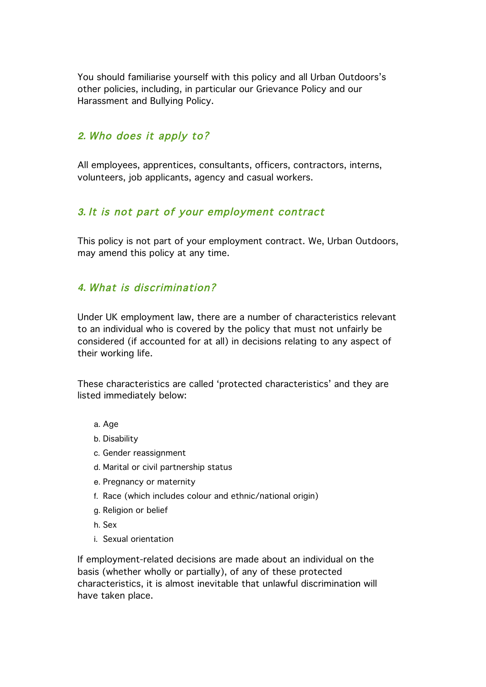You should familiarise yourself with this policy and all Urban Outdoors's other policies, including, in particular our Grievance Policy and our Harassment and Bullying Policy.

## *2.* Who does it apply to?

All employees, apprentices, consultants, officers, contractors, interns, volunteers, job applicants, agency and casual workers.

## *3.* It is not part of your employment contract

This policy is not part of your employment contract. We, Urban Outdoors, may amend this policy at any time.

## *4.* What is discrimination?

Under UK employment law, there are a number of characteristics relevant to an individual who is covered by the policy that must not unfairly be considered (if accounted for at all) in decisions relating to any aspect of their working life.

These characteristics are called 'protected characteristics' and they are listed immediately below:

- a. Age
- b. Disability
- c. Gender reassignment
- d. Marital or civil partnership status
- e. Pregnancy or maternity
- f. Race (which includes colour and ethnic/national origin)
- g. Religion or belief
- h. Sex
- i. Sexual orientation

If employment-related decisions are made about an individual on the basis (whether wholly or partially), of any of these protected characteristics, it is almost inevitable that unlawful discrimination will have taken place.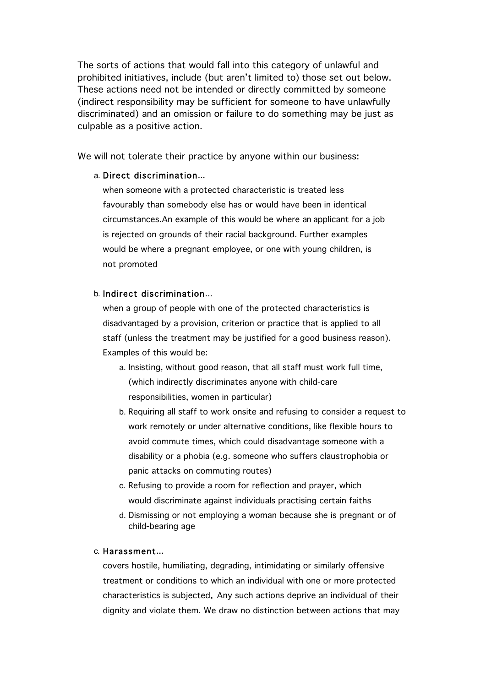The sorts of actions that would fall into this category of unlawful and prohibited initiatives, include (but aren't limited to) those set out below. These actions need not be intended or directly committed by someone (indirect responsibility may be sufficient for someone to have unlawfully discriminated) and an omission or failure to do something may be just as culpable as a positive action.

We will not tolerate their practice by anyone within our business:

#### a. Direct discrimination...

when someone with a protected characteristic is treated less favourably than somebody else has or would have been in identical circumstances.An example of this would be where an applicant for a job is rejected on grounds of their racial background. Further examples would be where a pregnant employee, or one with young children, is not promoted

#### b. Indirect discrimination...

when a group of people with one of the protected characteristics is disadvantaged by a provision, criterion or practice that is applied to all staff (unless the treatment may be justified for a good business reason). Examples of this would be:

- a. Insisting, without good reason, that all staff must work full time, (which indirectly discriminates anyone with child-care responsibilities, women in particular)
- b. Requiring all staff to work onsite and refusing to consider a request to work remotely or under alternative conditions, like flexible hours to avoid commute times, which could disadvantage someone with a disability or a phobia (e.g. someone who suffers claustrophobia or panic attacks on commuting routes)
- c. Refusing to provide a room for reflection and prayer, which would discriminate against individuals practising certain faiths
- d. Dismissing or not employing a woman because she is pregnant or of child-bearing age

#### c. Harassment...

covers hostile, humiliating, degrading, intimidating or similarly offensive treatment or conditions to which an individual with one or more protected characteristics is subjected. Any such actions deprive an individual of their dignity and violate them. We draw no distinction between actions that may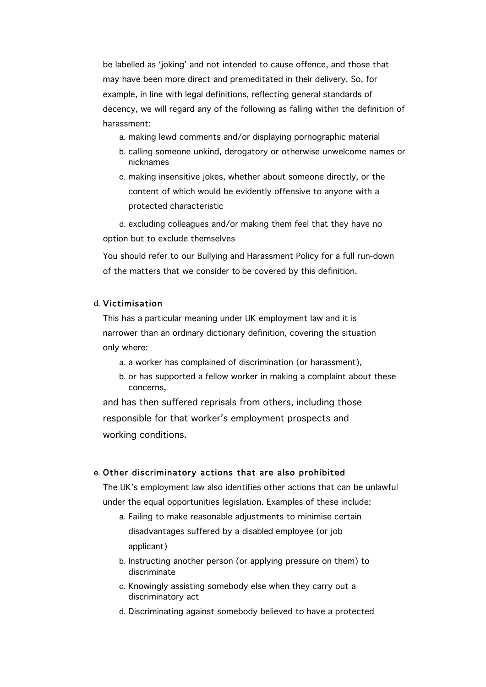be labelled as 'joking' and not intended to cause offence, and those that may have been more direct and premeditated in their delivery. So, for example, in line with legal definitions, reflecting general standards of decency, we will regard any of the following as falling within the definition of harassment:

- a. making lewd comments and/or displaying pornographic material
- b. calling someone unkind, derogatory or otherwise unwelcome names or nicknames
- c. making insensitive jokes, whether about someone directly, or the content of which would be evidently offensive to anyone with a protected characteristic

d. excluding colleagues and/or making them feel that they have no option but to exclude themselves

You should refer to our Bullying and Harassment Policy for a full run-down of the matters that we consider to be covered by this definition.

#### d. Victimisation

This has a particular meaning under UK employment law and it is narrower than an ordinary dictionary definition, covering the situation only where:

- a. a worker has complained of discrimination (or harassment),
- b. or has supported a fellow worker in making a complaint about these concerns,

and has then suffered reprisals from others, including those responsible for that worker's employment prospects and working conditions.

#### e. Other discriminatory actions that are also prohibited

The UK's employment law also identifies other actions that can be unlawful under the equal opportunities legislation. Examples of these include:

- a. Failing to make reasonable adjustments to minimise certain disadvantages suffered by a disabled employee (or job applicant)
- b. Instructing another person (or applying pressure on them) to discriminate
- c. Knowingly assisting somebody else when they carry out a discriminatory act
- d. Discriminating against somebody believed to have a protected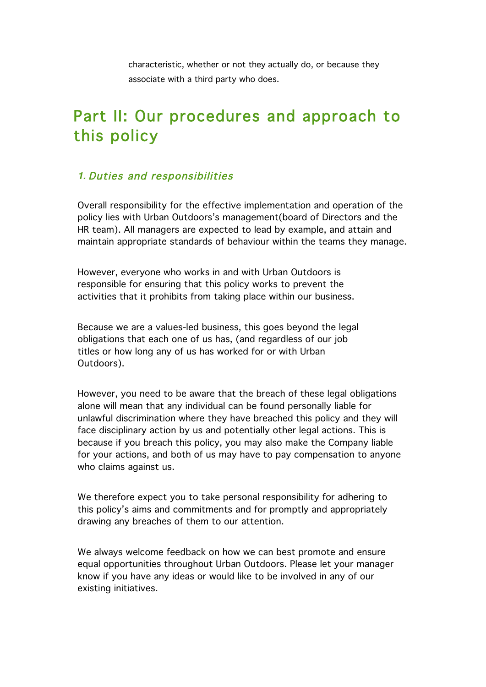characteristic, whether or not they actually do, or because they associate with a third party who does.

# Part II: Our procedures and approach to this policy

## *1.* Duties and responsibilities

Overall responsibility for the effective implementation and operation of the policy lies with Urban Outdoors's management(board of Directors and the HR team). All managers are expected to lead by example, and attain and maintain appropriate standards of behaviour within the teams they manage.

However, everyone who works in and with Urban Outdoors is responsible for ensuring that this policy works to prevent the activities that it prohibits from taking place within our business.

Because we are a values-led business, this goes beyond the legal obligations that each one of us has, (and regardless of our job titles or how long any of us has worked for or with Urban Outdoors).

However, you need to be aware that the breach of these legal obligations alone will mean that any individual can be found personally liable for unlawful discrimination where they have breached this policy and they will face disciplinary action by us and potentially other legal actions. This is because if you breach this policy, you may also make the Company liable for your actions, and both of us may have to pay compensation to anyone who claims against us.

We therefore expect you to take personal responsibility for adhering to this policy's aims and commitments and for promptly and appropriately drawing any breaches of them to our attention.

We always welcome feedback on how we can best promote and ensure equal opportunities throughout Urban Outdoors. Please let your manager know if you have any ideas or would like to be involved in any of our existing initiatives.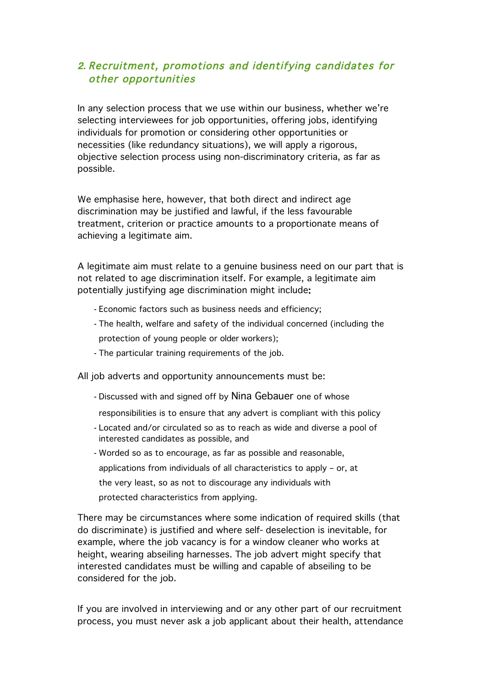## *2.* Recruitment, promotions and identifying candidates for other opportunities

In any selection process that we use within our business, whether we're selecting interviewees for job opportunities, offering jobs, identifying individuals for promotion or considering other opportunities or necessities (like redundancy situations), we will apply a rigorous, objective selection process using non-discriminatory criteria, as far as possible.

We emphasise here, however, that both direct and indirect age discrimination may be justified and lawful, if the less favourable treatment, criterion or practice amounts to a proportionate means of achieving a legitimate aim.

A legitimate aim must relate to a genuine business need on our part that is not related to age discrimination itself. For example, a legitimate aim potentially justifying age discrimination might include:

- Economic factors such as business needs and efficiency;
- The health, welfare and safety of the individual concerned (including the protection of young people or older workers);
- The particular training requirements of the job.

All job adverts and opportunity announcements must be:

- Discussed with and signed off by Nina Gebauer one of whose
- responsibilities is to ensure that any advert is compliant with this policy
- Located and/or circulated so as to reach as wide and diverse a pool of interested candidates as possible, and
- Worded so as to encourage, as far as possible and reasonable, applications from individuals of all characteristics to apply – or, at the very least, so as not to discourage any individuals with protected characteristics from applying.

There may be circumstances where some indication of required skills (that do discriminate) is justified and where self- deselection is inevitable, for example, where the job vacancy is for a window cleaner who works at height, wearing abseiling harnesses. The job advert might specify that interested candidates must be willing and capable of abseiling to be considered for the job.

If you are involved in interviewing and or any other part of our recruitment process, you must never ask a job applicant about their health, attendance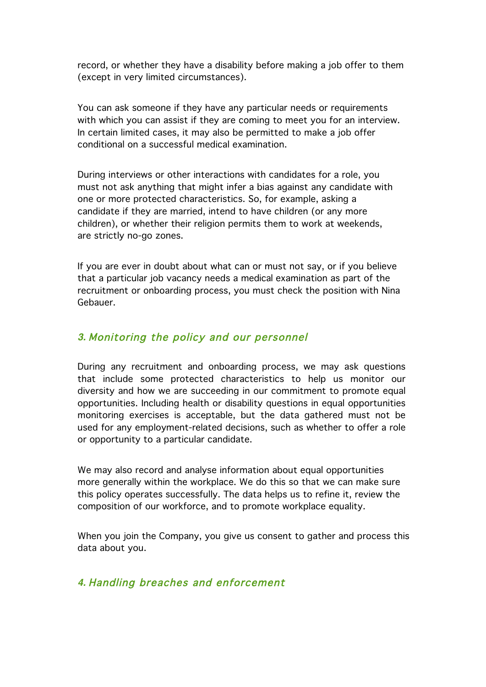record, or whether they have a disability before making a job offer to them (except in very limited circumstances).

You can ask someone if they have any particular needs or requirements with which you can assist if they are coming to meet you for an interview. In certain limited cases, it may also be permitted to make a job offer conditional on a successful medical examination.

During interviews or other interactions with candidates for a role, you must not ask anything that might infer a bias against any candidate with one or more protected characteristics. So, for example, asking a candidate if they are married, intend to have children (or any more children), or whether their religion permits them to work at weekends, are strictly no-go zones.

If you are ever in doubt about what can or must not say, or if you believe that a particular job vacancy needs a medical examination as part of the recruitment or onboarding process, you must check the position with Nina Gebauer.

### *3.* Monitoring the policy and our personnel

During any recruitment and onboarding process, we may ask questions that include some protected characteristics to help us monitor our diversity and how we are succeeding in our commitment to promote equal opportunities. Including health or disability questions in equal opportunities monitoring exercises is acceptable, but the data gathered must not be used for any employment-related decisions, such as whether to offer a role or opportunity to a particular candidate.

We may also record and analyse information about equal opportunities more generally within the workplace. We do this so that we can make sure this policy operates successfully. The data helps us to refine it, review the composition of our workforce, and to promote workplace equality.

When you join the Company, you give us consent to gather and process this data about you.

*4.* Handling breaches and enforcement